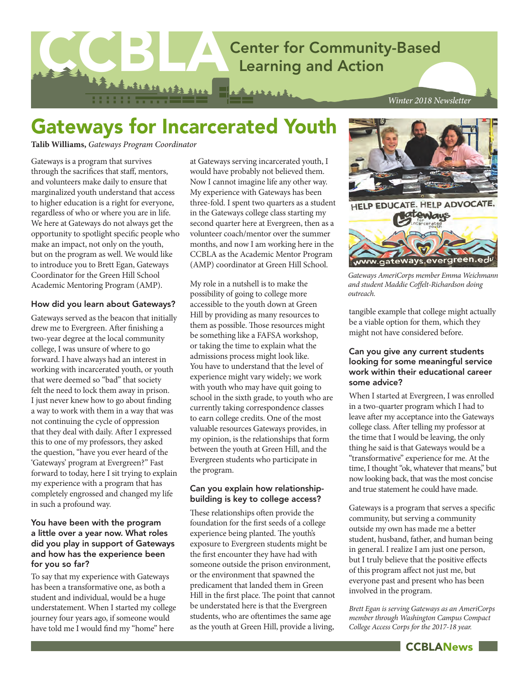

*Winter 2018 Newsletter*

# Gateways for Incarcerated Youth

**Talib Williams,** *Gateways Program Coordinator*

Gateways is a program that survives through the sacrifices that staff, mentors, and volunteers make daily to ensure that marginalized youth understand that access to higher education is a right for everyone, regardless of who or where you are in life. We here at Gateways do not always get the opportunity to spotlight specific people who make an impact, not only on the youth, but on the program as well. We would like to introduce you to Brett Egan, Gateways Coordinator for the Green Hill School Academic Mentoring Program (AMP).

### How did you learn about Gateways?

Gateways served as the beacon that initially drew me to Evergreen. After finishing a two-year degree at the local community college, I was unsure of where to go forward. I have always had an interest in working with incarcerated youth, or youth that were deemed so "bad" that society felt the need to lock them away in prison. I just never knew how to go about finding a way to work with them in a way that was not continuing the cycle of oppression that they deal with daily. After I expressed this to one of my professors, they asked the question, "have you ever heard of the 'Gateways' program at Evergreen?" Fast forward to today, here I sit trying to explain my experience with a program that has completely engrossed and changed my life in such a profound way.

### You have been with the program a little over a year now. What roles did you play in support of Gateways and how has the experience been for you so far?

To say that my experience with Gateways has been a transformative one, as both a student and individual, would be a huge understatement. When I started my college journey four years ago, if someone would have told me I would find my "home" here

at Gateways serving incarcerated youth, I would have probably not believed them. Now I cannot imagine life any other way. My experience with Gateways has been three-fold. I spent two quarters as a student in the Gateways college class starting my second quarter here at Evergreen, then as a volunteer coach/mentor over the summer months, and now I am working here in the CCBLA as the Academic Mentor Program (AMP) coordinator at Green Hill School.

My role in a nutshell is to make the possibility of going to college more accessible to the youth down at Green Hill by providing as many resources to them as possible. Those resources might be something like a FAFSA workshop, or taking the time to explain what the admissions process might look like. You have to understand that the level of experience might vary widely; we work with youth who may have quit going to school in the sixth grade, to youth who are currently taking correspondence classes to earn college credits. One of the most valuable resources Gateways provides, in my opinion, is the relationships that form between the youth at Green Hill, and the Evergreen students who participate in the program.

### Can you explain how relationshipbuilding is key to college access?

These relationships often provide the foundation for the first seeds of a college experience being planted. The youth's exposure to Evergreen students might be the first encounter they have had with someone outside the prison environment, or the environment that spawned the predicament that landed them in Green Hill in the first place. The point that cannot be understated here is that the Evergreen students, who are oftentimes the same age as the youth at Green Hill, provide a living,





*Gateways AmeriCorps member Emma Weichmann and student Maddie Coffelt-Richardson doing outreach.*

tangible example that college might actually be a viable option for them, which they might not have considered before.

### Can you give any current students looking for some meaningful service work within their educational career some advice?

When I started at Evergreen, I was enrolled in a two-quarter program which I had to leave after my acceptance into the Gateways college class. After telling my professor at the time that I would be leaving, the only thing he said is that Gateways would be a "transformative" experience for me. At the time, I thought "ok, whatever that means," but now looking back, that was the most concise and true statement he could have made.

Gateways is a program that serves a specific community, but serving a community outside my own has made me a better student, husband, father, and human being in general. I realize I am just one person, but I truly believe that the positive effects of this program affect not just me, but everyone past and present who has been involved in the program.

*Brett Egan is serving Gateways as an AmeriCorps member through Washington Campus Compact College Access Corps for the 2017-18 year.*

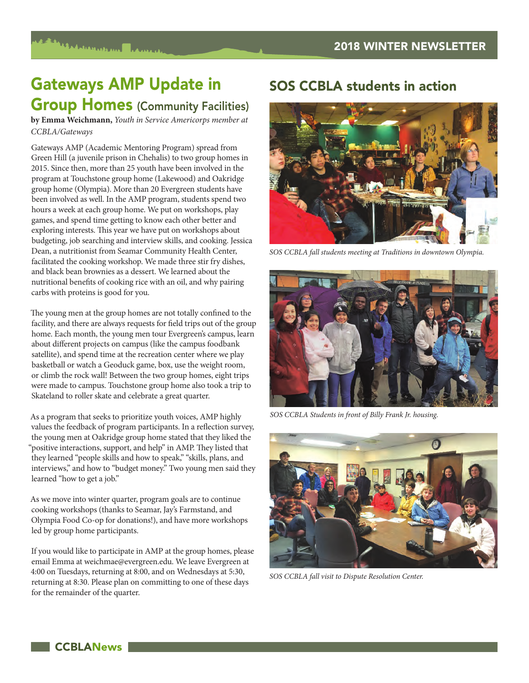# Gateways AMP Update in **Group Homes (Community Facilities)**

**by Emma Weichmann,** *Youth in Service Americorps member at CCBLA/Gateways*

Gateways AMP (Academic Mentoring Program) spread from Green Hill (a juvenile prison in Chehalis) to two group homes in 2015. Since then, more than 25 youth have been involved in the program at Touchstone group home (Lakewood) and Oakridge group home (Olympia). More than 20 Evergreen students have been involved as well. In the AMP program, students spend two hours a week at each group home. We put on workshops, play games, and spend time getting to know each other better and exploring interests. This year we have put on workshops about budgeting, job searching and interview skills, and cooking. Jessica Dean, a nutritionist from Seamar Community Health Center, facilitated the cooking workshop. We made three stir fry dishes, and black bean brownies as a dessert. We learned about the nutritional benefits of cooking rice with an oil, and why pairing carbs with proteins is good for you.

The young men at the group homes are not totally confined to the facility, and there are always requests for field trips out of the group home. Each month, the young men tour Evergreen's campus, learn about different projects on campus (like the campus foodbank satellite), and spend time at the recreation center where we play basketball or watch a Geoduck game, box, use the weight room, or climb the rock wall! Between the two group homes, eight trips were made to campus. Touchstone group home also took a trip to Skateland to roller skate and celebrate a great quarter.

As a program that seeks to prioritize youth voices, AMP highly values the feedback of program participants. In a reflection survey, the young men at Oakridge group home stated that they liked the "positive interactions, support, and help" in AMP. They listed that they learned "people skills and how to speak," "skills, plans, and interviews," and how to "budget money." Two young men said they learned "how to get a job."

As we move into winter quarter, program goals are to continue cooking workshops (thanks to Seamar, Jay's Farmstand, and Olympia Food Co-op for donations!), and have more workshops led by group home participants.

If you would like to participate in AMP at the group homes, please email Emma at weichmae@evergreen.edu. We leave Evergreen at 4:00 on Tuesdays, returning at 8:00, and on Wednesdays at 5:30, returning at 8:30. Please plan on committing to one of these days for the remainder of the quarter.

## SOS CCBLA students in action



*SOS CCBLA fall students meeting at Traditions in downtown Olympia.*



*SOS CCBLA Students in front of Billy Frank Jr. housing.*



*SOS CCBLA fall visit to Dispute Resolution Center.*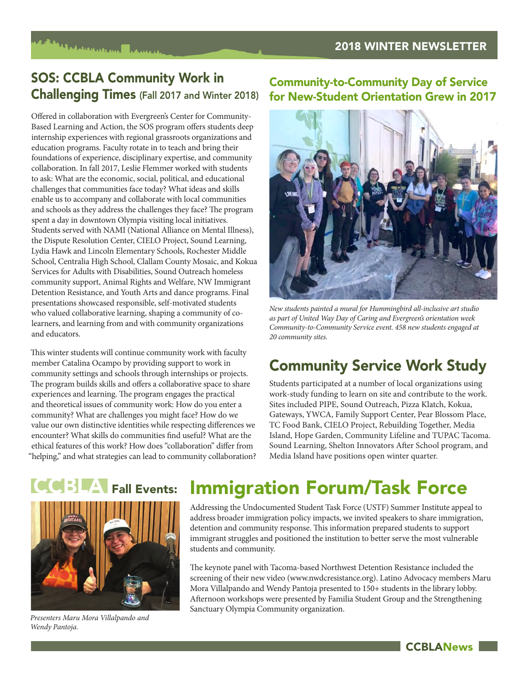## SOS: CCBLA Community Work in Challenging Times (Fall 2017 and Winter 2018)

Offered in collaboration with Evergreen's Center for Community-Based Learning and Action, the SOS program offers students deep internship experiences with regional grassroots organizations and education programs. Faculty rotate in to teach and bring their foundations of experience, disciplinary expertise, and community collaboration. In fall 2017, Leslie Flemmer worked with students to ask: What are the economic, social, political, and educational challenges that communities face today? What ideas and skills enable us to accompany and collaborate with local communities and schools as they address the challenges they face? The program spent a day in downtown Olympia visiting local initiatives. Students served with NAMI (National Alliance on Mental Illness), the Dispute Resolution Center, CIELO Project, Sound Learning, Lydia Hawk and Lincoln Elementary Schools, Rochester Middle School, Centralia High School, Clallam County Mosaic, and Kokua Services for Adults with Disabilities, Sound Outreach homeless community support, Animal Rights and Welfare, NW Immigrant Detention Resistance, and Youth Arts and dance programs. Final presentations showcased responsible, self-motivated students who valued collaborative learning, shaping a community of colearners, and learning from and with community organizations and educators.

This winter students will continue community work with faculty member Catalina Ocampo by providing support to work in community settings and schools through internships or projects. The program builds skills and offers a collaborative space to share experiences and learning. The program engages the practical and theoretical issues of community work: How do you enter a community? What are challenges you might face? How do we value our own distinctive identities while respecting differences we encounter? What skills do communities find useful? What are the ethical features of this work? How does "collaboration" differ from "helping," and what strategies can lead to community collaboration?

## Community-to-Community Day of Service for New-Student Orientation Grew in 2017



*New students painted a mural for Hummingbird all-inclusive art studio as part of United Way Day of Caring and Evergreen's orientation week Community-to-Community Service event. 458 new students engaged at 20 community sites.*

## Community Service Work Study

Students participated at a number of local organizations using work-study funding to learn on site and contribute to the work. Sites included PIPE, Sound Outreach, Pizza Klatch, Kokua, Gateways, YWCA, Family Support Center, Pear Blossom Place, TC Food Bank, CIELO Project, Rebuilding Together, Media Island, Hope Garden, Community Lifeline and TUPAC Tacoma. Sound Learning, Shelton Innovators After School program, and Media Island have positions open winter quarter.

**CCBLANews** 

# **Teletical PALIE** Fall Events:



*Presenters Maru Mora Villalpando and Wendy Pantoja.*

# Immigration Forum/Task Force

Addressing the Undocumented Student Task Force (USTF) Summer Institute appeal to address broader immigration policy impacts, we invited speakers to share immigration, detention and community response. This information prepared students to support immigrant struggles and positioned the institution to better serve the most vulnerable students and community.

The keynote panel with Tacoma-based Northwest Detention Resistance included the screening of their new video (www.nwdcresistance.org). Latino Advocacy members Maru Mora Villalpando and Wendy Pantoja presented to 150+ students in the library lobby. Afternoon workshops were presented by Familia Student Group and the Strengthening Sanctuary Olympia Community organization.